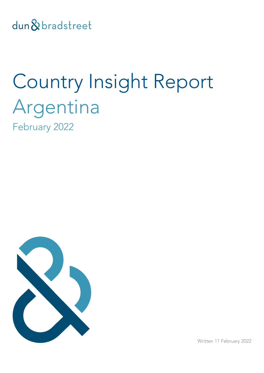dun & bradstreet

# Country Insight Report Argentina February 2022



Written 11 February 2022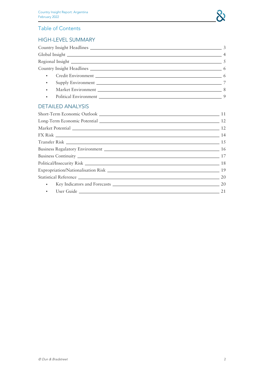



| $\sim$ 6                |  |
|-------------------------|--|
|                         |  |
|                         |  |
| Market Environment 2008 |  |
|                         |  |

### [DETAILED](#page-9-0) ANALYSIS

| Political/Insecurity Risk 2008 2014 18 20 20 20 20 21 22 23 24 25 26 27 28 29 20 21 22 23 24 25 26 27 27 27 28 |  |
|----------------------------------------------------------------------------------------------------------------|--|
|                                                                                                                |  |
| Statistical Reference 20 20                                                                                    |  |
|                                                                                                                |  |
| • User Guide 21                                                                                                |  |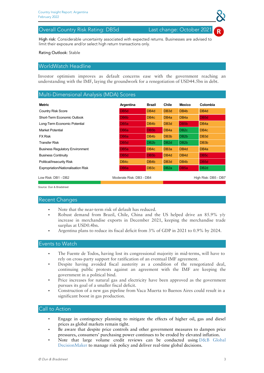### <span id="page-2-0"></span>Overall Country Risk Rating: DB5d Last change: October 2021

© Dun & Bradstreet 3

High risk: Considerable uncertainty associated with expected returns. Businesses are advised to limit their exposure and/or select high return transactions only.

### Rating Outlook: Stable

### WorldWatch Headline

Investor optimism improves as default concerns ease with the government reaching an understanding with the IMF, laying the groundwork for a renegotiation of USD44.5bn in debt.

### Multi-Dimensional Analysis (MDA) Scores

| Metric                                 | Argentina                                        | Brazil            | Chile             | Mexico            | Colombia          |  |
|----------------------------------------|--------------------------------------------------|-------------------|-------------------|-------------------|-------------------|--|
| <b>Country Risk Score</b>              | DB <sub>5d</sub>                                 | DB <sub>4</sub> d | DB <sub>3d</sub>  | DB <sub>4</sub> b | DB <sub>4</sub> d |  |
| Short-Term Economic Outlook            | DB <sub>6</sub> b                                | DB <sub>4c</sub>  | DB <sub>4a</sub>  | DB <sub>4a</sub>  | DB <sub>5d</sub>  |  |
| Long-Term Economic Potential           | DB <sub>5a</sub>                                 | DB <sub>4</sub> b | DB <sub>3d</sub>  | DB <sub>5</sub> b | DB <sub>4</sub> a |  |
| Market Potential                       | DB <sub>6</sub> a                                | DB <sub>5</sub> b | DB <sub>4a</sub>  | DB <sub>2c</sub>  | DB <sub>4</sub> c |  |
| <b>FX Risk</b>                         | DB <sub>6</sub> a                                | DB <sub>4</sub> b | DB <sub>3</sub> b | DB <sub>2</sub> b | DB <sub>3d</sub>  |  |
| <b>Transfer Risk</b>                   | DB <sub>5</sub> d                                | DB <sub>2</sub> b | DB <sub>2d</sub>  | DB <sub>2</sub> b | DB <sub>3</sub> b |  |
| <b>Business Regulatory Environment</b> | DB <sub>5a</sub>                                 | DB <sub>4</sub> c | DB <sub>3a</sub>  | DB <sub>4d</sub>  | DB <sub>4a</sub>  |  |
| <b>Business Continuity</b>             | DB <sub>5</sub> d                                | DB <sub>5</sub> b | DB <sub>4</sub> d | DB <sub>4</sub> d | DB <sub>5</sub> c |  |
| Political/Insecurity Risk              | DB <sub>4c</sub>                                 | DB <sub>4</sub> b | DB <sub>3d</sub>  | DB <sub>4</sub> b | DB <sub>5d</sub>  |  |
| Expropriation/Nationalisation Risk     | DB <sub>6a</sub>                                 | DB <sub>3c</sub>  | DB <sub>2a</sub>  | DB <sub>5a</sub>  | DB <sub>2d</sub>  |  |
| Low Risk: DB1 - DB2                    | Moderate Risk: DB3 - DB4<br>High Risk: DB5 - DB7 |                   |                   |                   |                   |  |

Source: Dun & Bradstreet

### Recent Changes

- Note that the near-term risk of default has reduced.
- Robust demand from Brazil, Chile, China and the US helped drive an 85.9% y/y increase in merchandise exports in December 2021, keeping the merchandise trade surplus at USD0.4bn.
- Argentina plans to reduce its fiscal deficit from 3% of GDP in 2021 to 0.9% by 2024.

### Events to Watch

- The Fuente de Todos, having lost its congressional majority in mid-terms, will have to rely on cross-party support for ratification of an eventual IMF agreement.
- Despite having avoided fiscal austerity as a condition of the renegotiated deal, continuing public protests against an agreement with the IMF are keeping the government in a political bind.
- Price increases for natural gas and electricity have been approved as the government pursues its goal of a smaller fiscal deficit.
- Construction of a new gas pipeline from Vaca Muerta to Buenos Aires could result in a significant boost in gas production.

- Engage in contingency planning to mitigate the effects of higher oil, gas and diesel prices as global markets remain tight.
- Be aware that despite price controls and other government measures to dampen price pressures, consumers' purchasing power continues to be eroded by elevated inflation.
- Note that large volume credit reviews can be conducted using D&B Global [DecisionMaker](https://www.dnb.co.uk/products/finance-credit-risk.html) to manage risk policy and deliver real-time global decisions.

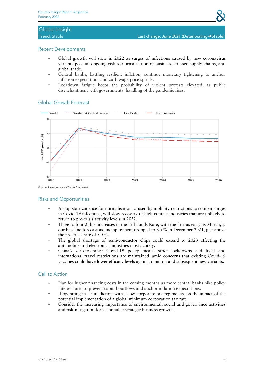## <span id="page-3-0"></span>Global Insight

### Recent Developments

- Global growth will slow in 2022 as surges of infections caused by new coronavirus variants pose an ongoing risk to normalisation of business, stressed supply chains, and global trade.
- Central banks, battling resilient inflation, continue monetary tightening to anchor inflation expectations and curb wage-price spirals.
- Lockdown fatigue keeps the probability of violent protests elevated, as public disenchantment with governments' handling of the pandemic rises.

### - World ..... Western & Central Europe - Asia Pacific North America 8 Real GDP growth (%)  $-8$ 2020 2021 2022 2023 2024 2025 2026 Source: Haver Analytics/Dun & Bradstreet

### Global Growth Forecast

Risks and Opportunities

- A stop-start cadence for normalisation, caused by mobility restrictions to combat surges in Covid-19 infections, will slow recovery of high-contact industries that are unlikely to return to pre-crisis activity levels in 2022.
- Three to four 25bps increases in the Fed Funds Rate, with the first as early as March, is our baseline forecast as unemployment dropped to 3.9% in December 2021, just above the pre-crisis rate of 3.5%.
- The global shortage of semi-conductor chips could extend to 2023 affecting the automobile and electronics industries most acutely.
- China's zero-tolerance Covid-19 policy means strict lockdowns and local and international travel restrictions are maintained, amid concerns that existing Covid-19 vaccines could have lower efficacy levels against omicron and subsequent new variants.

- Plan for higher financing costs in the coming months as more central banks hike policy interest rates to prevent capital outflows and anchor inflation expectations.
- If operating in a jurisdiction with a low corporate tax regime, assess the impact of the potential implementation of a global minimum corporation tax rate.
- Consider the increasing importance of environmental, social and governance activities and risk-mitigation for sustainable strategic business growth.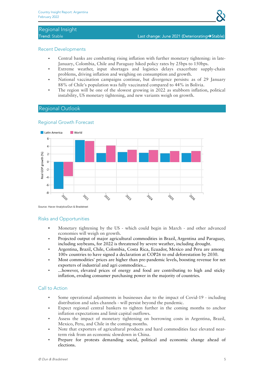## <span id="page-4-0"></span>Regional Insight

### Recent Developments

- Central banks are combatting rising inflation with further monetary tightening: in late-January, Colombia, Chile and Paraguay hiked policy rates by 25bps to 150bps.
- Extreme weather, input shortages and logistics delays exacerbate supply-chain problems, driving inflation and weighing on consumption and growth.
- National vaccination campaigns continue, but divergence persists: as of 29 January 88% of Chile's population was fully vaccinated compared to 44% in Bolivia.
- The region will be one of the slowest growing in 2022 as stubborn inflation, political instability, US monetary tightening, and new variants weigh on growth.

### Regional Outlook



### Regional Growth Forecast

Source: Haver Analytics/Dun & Bradstreet

### Risks and Opportunities

- Monetary tightening by the US which could begin in March and other advanced economies will weigh on growth.
- Projected output of major agricultural commodities in Brazil, Argentina and Paraguay, including soybeans, for 2022 is threatened by severe weather, including drought.
- Argentina, Brazil, Chile, Colombia, Costa Rica, Ecuador, Mexico and Peru are among 100+ countries to have signed a declaration at COP26 to end deforestation by 2030.
- Most commodities' prices are higher than pre-pandemic levels, boosting revenue for net exporters of industrial and agri commodities...
- ...however, elevated prices of energy and food are contributing to high and sticky inflation, eroding consumer purchasing power in the majority of countries.

- Some operational adjustments in businesses due to the impact of Covid-19 including distribution and sales channels - will persist beyond the pandemic.
- Expect regional central bankers to tighten further in the coming months to anchor inflation expectations and limit capital outflows.
- Assess the impact of monetary tightening on borrowing costs in Argentina, Brazil, Mexico, Peru, and Chile in the coming months.
- Note that exporters of agricultural products and hard commodities face elevated nearterm risk from an economic slowdown in China.
- Prepare for protests demanding social, political and economic change ahead of elections.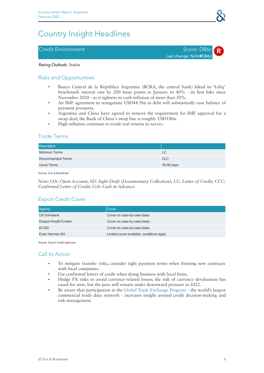## <span id="page-5-0"></span>Country Insight Headlines

### <span id="page-5-1"></span>Credit Environment New York Score: DB6c



### Rating Outlook: Stable

### Risks and Opportunities

- Banco Central de la República Argentina (BCRA, the central bank) hiked its 'Leliq' benchmark interest rate by 200 basis points in January to 40% - its first hike since November 2020 - as it tightens to curb inflation of more than 50%.
- An IMF agreement to renegotiate USD44.5bn in debt will substantially ease balance of payment pressures.
- Argentina and China have agreed to remove the requirement for IMF approval for a swap deal; the Bank of China's swap line is roughly USD18bn.
- High inflation continues to erode real returns to savers.

### Trade Terms

| <b>Description</b>       |            |
|--------------------------|------------|
| <b>Minimum Terms</b>     | LC         |
| <b>Recommended Terms</b> | <b>CLC</b> |
| Usual Terms              | 30-90 days |

Source: Dun & Bradstreet

*Note: OA: Open Account; SD: Sight Draft (Documentary Collection); LC: Letter of Credit; CLC: Confirmed Letter of Credit; CiA: Cash in Advance.*

### Export Credit Cover

| Agency                       | Cover                                     |
|------------------------------|-------------------------------------------|
| <b>US Eximbank</b>           | Cover on case-by-case basis               |
| <b>Eksport Kredit Fonden</b> | Cover on case-by-case basis               |
| <b>ECGD</b>                  | Cover on case-by-case basis               |
| Euler Hermes AG              | Limited cover available, conditions apply |

Source: Export Credit Agencies

- To mitigate transfer risks, consider tight payment terms when forming new contracts with local companies.
- Use confirmed letters of credit when doing business with local firms. ●
- Hedge FX risks to avoid currency-related losses; the risk of currency devaluation has eased for now, but the peso will remain under downward pressure in 2022.
- Be aware that participation in the Global Trade [Exchange](https://www.dnb.co.uk/products/finance-credit-risk/global-trade-exchange-program.html) Program the world's largest commercial trade data network - increases insight around credit decision-making and risk management.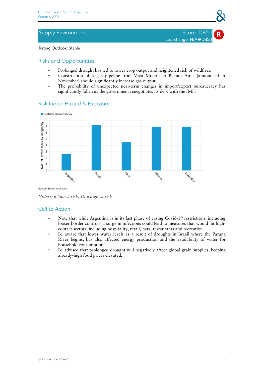### <span id="page-6-0"></span>Supply Environment Supply Environment Score: DB5d

Last change: N/A→DB5d

Rating Outlook: Stable

### Risks and Opportunities

- Prolonged drought has led to lower crop output and heightened risk of wildfires.
- Construction of a gas pipeline from Vaca Muerta to Buenos Aires (announced in November) should significantly increase gas output.
- The probability of unexpected near-term changes in import/export bureaucracy has significantly fallen as the government renegotiates its debt with the IMF.



### Risk Index: Hazard & Exposure

Source: Haver Analytics

- Note that while Argentina is in its last phase of easing Covid-19 restrictions, including looser border controls, a surge in infections could lead to measures that would hit high contact sectors, including hospitality, retail, bars, restaurants and recreation.
- Be aware that lower water levels as a result of droughts in Brazil where the Parana River begins, has also affected energy production and the availability of water for household consumption.
- Be advised that prolonged drought will negatively affect global grain supplies, keeping already-high food prices elevated.

*Note: 0 = lowest risk, 10 = highest risk*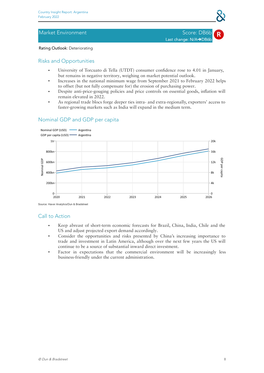### <span id="page-7-0"></span>Market Environment National Score: DB6b

Last change: N/A→DB6b

### Rating Outlook: Deteriorating

### Risks and Opportunities

- University of Torcuato di Tella (UTDT) consumer confidence rose to 4.01 in January, but remains in negative territory, weighing on market potential outlook.
- Increases in the national minimum wage from September 2021 to February 2022 helps to offset (but not fully compensate for) the erosion of purchasing power.
- Despite anti-price-gouging policies and price controls on essential goods, inflation will remain elevated in 2022.
- As regional trade blocs forge deeper ties intra- and extra-regionally, exporters' access to faster-growing markets such as India will expand in the medium term.

### Nominal GDP and GDP per capita



Source: Haver Analytics/Dun & Bradstreet

- Keep abreast of short-term economic forecasts for Brazil, China, India, Chile and the US and adjust projected export demand accordingly.
- Consider the opportunities and risks presented by China's increasing importance to trade and investment in Latin America, although over the next few years the US will continue to be a source of substantial inward direct investment.
- Factor in expectations that the commercial environment will be increasingly less business-friendly under the current administration.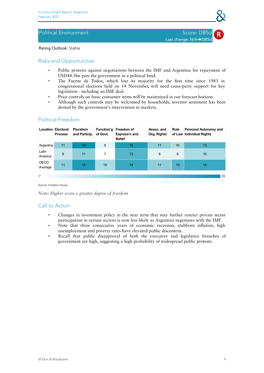### <span id="page-8-0"></span>Political Environment National According Score: DB5d

Last change: N/A→DB5c

Rating Outlook: Stable

### Risks and Opportunities

- Public protests against negotiations between the IMF and Argentina for repayment of USD44.5bn puts the government in a political bind.
- The Fuente de Todos, which lost its majority for the first time since 1983 in congressional elections held on 14 November, will need cross-party support for key legislation - including an IMF deal.
- Price controls on basic consumer items will be maintained in our forecast horizon.
- Although such controls may be welcomed by households, investor sentiment has been dented by the government's intervention in markets.

### Political Freedom

|                        | <b>Location Electoral</b><br><b>Process</b> | <b>Pluralism</b><br>and Particip. of Govt. |    | Function'g Freedom of<br>Express'n and<br><b>Belief</b> | Assoc. and<br>Org. Rights | <b>Rule</b> | <b>Personal Autonomy and</b><br>of Law Individual Rights |
|------------------------|---------------------------------------------|--------------------------------------------|----|---------------------------------------------------------|---------------------------|-------------|----------------------------------------------------------|
| Argentina              | 11                                          | 16                                         | 8  | 15                                                      | 11                        | 10          | 13                                                       |
| Latin<br>America       | 9                                           | 11                                         | 7  | 13                                                      | 8                         | 8           | 10                                                       |
| <b>OECD</b><br>Average | 11                                          | 15                                         | 10 | 14                                                      | 11                        | 13          | 14                                                       |
| 7                      |                                             |                                            |    |                                                         |                           |             | 16                                                       |

Source: Freedom House

*Note: Higher score = greater degree of freedom*

- Changes in investment policy in the near term that may further restrict private sector participation in certain sectors is now less likely as Argentina negotiates with the IMF.
- Note that three consecutive years of economic recession, stubborn inflation, high unemployment and poverty rates have elevated public discontent.
- Recall that public disapproval of both the executive and legislative branches of government are high, suggesting a high probability of widespread public protests.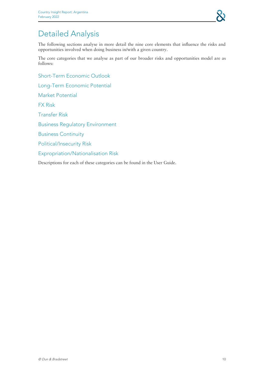

## <span id="page-9-0"></span>Detailed Analysis

The following sections analyse in more detail the nine core elements that influence the risks and opportunities involved when doing business in/with a given country.

The core categories that we analyse as part of our broader risks and opportunities model are as follows:

Short-Term Economic Outlook

Long-Term Economic Potential

Market Potential

FX Risk

Transfer Risk

Business Regulatory Environment

Business Continuity

Political/Insecurity Risk

Expropriation/Nationalisation Risk

Descriptions for each of these categories can be found in the User Guide.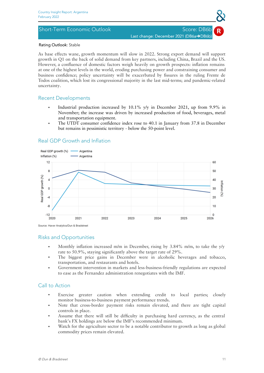### <span id="page-10-0"></span>Rating Outlook: Stable

As base effects wane, growth momentum will slow in 2022. Strong export demand will support growth in Q1 on the back of solid demand from key partners, including China, Brazil and the US. However, a confluence of domestic factors weigh heavily on growth prospects: inflation remains at one of the highest levels in the world, eroding purchasing power and constraining consumer and business confidence; policy uncertainty will be exacerbated by fissures in the ruling Frente de Todos coalition, which lost its congressional majority in the last mid-terms; and pandemic-related uncertainty.

### Recent Developments

- Industrial production increased by 10.1% y/y in December 2021, up from 9.9% in November; the increase was driven by increased production of food, beverages, metal and transportation equipment.
- The UTDT consumer confidence index rose to 40.1 in January from 37.8 in December but remains in pessimistic territory - below the 50-point level.

### Real GDP growth (%) Argentina Inflation (%) Argentina  $12$ 60  $\mathbf{R}$ 50 Real GDP growth (%)  $\overline{A}$ 40  $\overline{0}$ 3Ū.  $-4$ 20 -8  $10$ 'n  $-12$ 2022 2024 2026 2021 2023 2025 2020

### Real GDP Growth and Inflation

Source: Haver Analytics/Dun & Bradstreet

### Risks and Opportunities

- Monthly inflation increased m/m in December, rising by 3.84% m/m, to take the y/y rate to 50.9%, staying significantly above the target rate of 29%.
- The biggest price gains in December were in alcoholic beverages and tobacco, transportation, and restaurants and hotels.
- Government intervention in markets and less-business-friendly regulations are expected to ease as the Fernandez administration renegotiates with the IMF.

### Call to Action

- Exercise greater caution when extending credit to local parties; closely monitor business-to-business payment performance trends.
- Note that cross-border payment risks remain elevated, and there are tight capital controls in place.
- Assume that there will still be difficulty in purchasing hard currency, as the central bank's FX holdings are below the IMF's recommended minimum.
- Watch for the agriculture sector to be a notable contributor to growth as long as global commodity prices remain elevated.

Inflation

B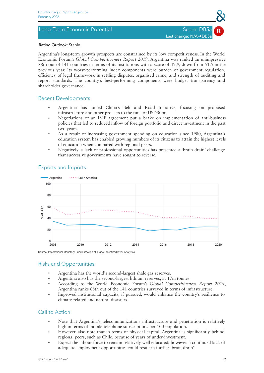### <span id="page-11-0"></span>Long-Term Economic Potential Score: DB5a



### Rating Outlook: Stable

Argentina's long-term growth prospects are constrained by its low competitiveness. In the World Economic Forum's *Global Competitiveness Report 2019,* Argentina was ranked an unimpressive 88th out of 141 countries in terms of its institutions with a score of 49.9, down from 51.5 in the previous year. Its worst-performing index components were burden of government regulation, efficiency of legal framework in settling disputes, organised crime, and strength of auditing and report standards. The country's best-performing components were budget transparency and shareholder governance.

### Recent Developments

- Argentina has joined China's Belt and Road Initiative, focusing on proposed infrastructure and other projects to the tune of USD30bn.
- Negotiations of an IMF agreement put a brake on implementation of anti-business policies that led to reduced inflow of foreign portfolio and direct investment in the past two years.
- As a result of increasing government spending on education since 1980, Argentina's education system has enabled growing numbers of its citizens to attain the highest levels of education when compared with regional peers.
- Negatively, a lack of professional opportunities has presented a 'brain drain' challenge that successive governments have sought to reverse.



### Exports and Imports

Source: International Monetary Fund Direction of Trade Statistics/Haver Analytics

### Risks and Opportunities

- Argentina has the world's second-largest shale gas reserves.
- Argentina also has the second-largest lithium reserves, at 17m tonnes.
- According to the World Economic Forum's *Global Competitiveness Report 2019*, Argentina ranks 68th out of the 141 countries surveyed in terms of infrastructure.
- Improved institutional capacity, if pursued, would enhance the country's resilience to climate-related and natural disasters.

- Note that Argentina's telecommunications infrastructure and penetration is relatively high in terms of mobile-telephone subscriptions per 100 population.
- However, also note that in terms of physical capital, Argentina is significantly behind regional peers, such as Chile, because of years of under-investment.
- <span id="page-11-1"></span>• Expect the labour force to remain relatively well educated; however, a continued lack of adequate employment opportunities could result in further 'brain drain'.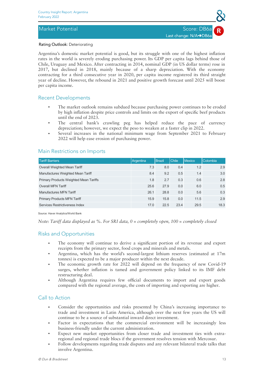### Rating Outlook: Deteriorating

Argentina's domestic market potential is good, but its struggle with one of the highest inflation rates in the world is severely eroding purchasing power. Its GDP per capita lags behind those of Chile, Uruguay and Mexico. After contracting in 2014, nominal GDP (in US dollar terms) rose in 2017, but declined in 2018, mainly because of a sharp depreciation. With the economy contracting for a third consecutive year in 2020, per capita income registered its third straight year of decline. However, the rebound in 2021 and positive growth forecast until 2025 will boost per capita income.

### Recent Developments

- The market outlook remains subdued because purchasing power continues to be eroded by high inflation despite price controls and limits on the export of specific beef products until the end of 2023.
- The central bank's crawling peg has helped reduce the pace of currency depreciation; however, we expect the peso to weaken at a faster clip in 2022.
- Several increases in the national minimum wage from September 2021 to February 2022 will help ease erosion of purchasing power.

| <b>Tariff Barriers</b>                        | Argentina | <b>Brazil</b> | <b>Chile</b> | Mexico | Colombia |
|-----------------------------------------------|-----------|---------------|--------------|--------|----------|
| Overall Weighted Mean Tariff                  | 7.3       | 8.0           | 0.4          | 1.2    | 2.9      |
| Manufactures Weighted Mean Tariff             | 8.4       | 9.2           | 0.5          | 1.4    | 3.0      |
| <b>Primary Products Weighted Mean Tariffs</b> | 1.8       | 2.7           | 0.3          | 0.6    | 2.8      |
| Overall MFN Tariff                            | 25.6      | 27.9          | 0.0          | 6.0    | 0.5      |
| Manufactures MFN Tariff                       | 26.1      | 28.8          | 0.0          | 5.6    | 0.3      |
| <b>Primary Products MFN Tariff</b>            | 15.9      | 15.8          | 0.0          | 11.5   | 2.9      |
| Services Restrictiveness Index                | 17.0      | 22.5          | 23.4         | 29.5   | 18.3     |

### Main Restrictions on Imports

Source: Haver Analytics/World Bank

*Note: Tariff data displayed as %. For SRI data, 0 = completely open, 100 = completely closed*

### Risks and Opportunities

- The economy will continue to derive a significant portion of its revenue and export receipts from the primary sector, food crops and minerals and metals.
- Argentina, which has the world's second-largest lithium reserves (estimated at 17m tonnes) is expected to be a major producer within the next decade.
- The economic growth rate for 2022 will depend on the frequency of new Covid-19 surges, whether inflation is tamed and government policy linked to its IMF debt restructuring deal.
- Although Argentina requires few official documents to import and export goods compared with the regional average, the costs of importing and exporting are higher.

- Consider the opportunities and risks presented by China's increasing importance to trade and investment in Latin America, although over the next few years the US will continue to be a source of substantial inward direct investment.
- Factor in expectations that the commercial environment will be increasingly less business-friendly under the current administration.
- **Expect new market opportunities from closer trade and investment ties with extra**regional and regional trade blocs if the government resolves tension with Mercosur.
- Follow developments regarding trade disputes and any relevant bilateral trade talks that involve Argentina.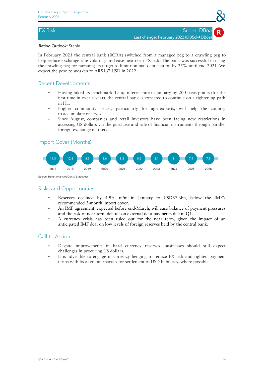### <span id="page-13-0"></span>Rating Outlook: Stable

In February 2021 the central bank (BCRA) switched from a managed peg to a crawling peg to help reduce exchange-rate volatility and ease near-term FX risk. The bank was successful in using the crawling peg for pursuing its target to limit nominal depreciation by 25% until end-2021. We expect the peso to weaken to ARS167:USD in 2022.

### Recent Developments

- Having hiked its benchmark 'Leliq' interest rate in January by 200 basis points (for the first time in over a year), the central bank is expected to continue on a tightening path in H1.
- Higher commodity prices, particularly for agri-exports, will help the country to accumulate reserves.
- Since August, companies and retail investors have been facing new restrictions in accessing US dollars via the purchase and sale of financial instruments through parallel foreign-exchange markets.

### Import Cover (Months)



Source: Haver Analytics/Dun & Bradstreet

### Risks and Opportunities

- Reserves declined by 4.9% m/m in January to USD37.6bn, below the IMF's recommended 3-month import cover.
- An IMF agreement, expected before end-March, will ease balance of payment pressures and the risk of near-term default on external debt payments due in Q1.
- A currency crisis has been ruled out for the near term, given the impact of an anticipated IMF deal on low levels of foreign reserves held by the central bank.

- Despite improvements in hard currency reserves, businesses should still expect challenges in procuring US dollars.
- It is advisable to engage in currency hedging to reduce FX risk and tighten payment terms with local counterparties for settlement of USD liabilities, where possible.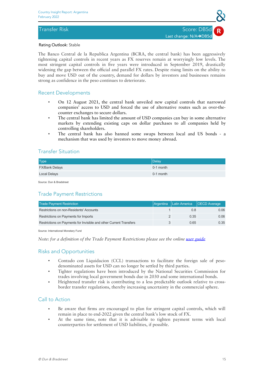### <span id="page-14-0"></span>Rating Outlook: Stable

The Banco Central de la Republica Argentina (BCRA, the central bank) has been aggressively tightening capital controls in recent years as FX reserves remain atworryingly low levels. The most stringent capital controls in five years were introduced in September 2019, drastically widening the gap between the official and parallel FX rates. Despite rising limits on the ability to buy and move USD out of the country, demand for dollars by investors and businesses remains strong as confidence in the peso continues to deteriorate.

### Recent Developments

- On 12 August 2021, the central bank unveiled new capital controls that narrowed companies' access to USD and forced the use of alternative routes such as over-the counter exchanges to secure dollars.
- The central bank has limited the amount of USD companies can buy in some alternative markets by extending existing caps on dollar purchases to all companies held by controlling shareholders.
- The central bank has also banned some swaps between local and US bonds a mechanism that was used by investors to move money abroad.

### Transfer Situation

| <b>Type</b>           | Delay     |
|-----------------------|-----------|
| <b>FX/Bank Delays</b> | 0-1 month |
| Local Delays          | 0-1 month |

Source: Dun & Bradstreet

### Trade Payment Restrictions

| <b>Trade Payment Restriction</b>                                   | Argentina Latin America   OECD Average |      |
|--------------------------------------------------------------------|----------------------------------------|------|
| Restrictions on non-Residents' Accounts                            | 0.8                                    | 0.06 |
| Restrictions on Payments for Imports                               | 0.35                                   | 0.06 |
| Restrictions on Payments for Invisible and other Current Transfers | 0.65                                   | 0.35 |

Source: International Monetary Fund

### *Note: for a definition of the Trade Payment Restrictions please see the online user [guide](http://www.dnbcountryrisk.com/userguide/MIR_user_guide.pdf)*

### Risks and Opportunities

- Contado con Liquidacion (CCL) transactions to facilitate the foreign sale of pesodenominated assets for USD can no longer be settled by third parties.
- Tighter regulations have been introduced by the National Securities Commission for trades involving local government bonds due in 2030 and some international bonds.
- Heightened transfer risk is contributing to a less predictable outlook relative to crossborder transfer regulations, thereby increasing uncertainty in the commercial sphere.

- Be aware that firms are encouraged to plan for stringent capital controls, which will remain in place to end-2022 given the central bank's low stock of FX.
- At the same time, note that it is advisable to tighten payment terms with local counterparties for settlement of USD liabilities, if possible.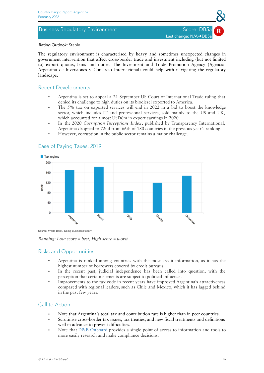### <span id="page-15-0"></span>Business Regulatory Environment Score: DB5a



### Rating Outlook: Stable

The regulatory environment is characterised by heavy and sometimes unexpected changes in government intervention that affect cross-border trade and investment including (but not limited to) export quotas, bans and duties. The Investment and Trade Promotion Agency (Agencia Argentina de Inversiones y Comercio Internacional) could help with navigating the regulatory landscape.

### Recent Developments

- Argentina is set to appeal a 21 September US Court of International Trade ruling that denied its challenge to high duties on its biodiesel exported to America.
- The 5% tax on exported services will end in 2022 in a bid to boost the knowledge sector, which includes IT and professional services, sold mainly to the US and UK, which accounted for almost USD6m in export earnings in 2020.
- In the 2020 Corruption Perceptions Index, published by Transparency International, Argentina dropped to 72nd from 66th of 180 countries in the previous year's ranking.
- However, corruption in the public sector remains a major challenge.



### Ease of Paying Taxes, 2019

Source: World Bank, 'Doing Business Report'

### *Ranking: Low score = best, High score = worst*

### Risks and Opportunities

- Argentina is ranked among countries with the most credit information, as it has the highest number of borrowers covered by credit bureaus.
- In the recent past, judicial independence has been called into question, with the perception that certain elements are subject to political influence.
- Improvements to the tax code in recent years have improved Argentina's attractiveness compared with regional leaders, such as Chile and Mexico, which it has lagged behind in the past few years.

- Note that Argentina's total tax and contribution rate is higher than in peer countries.
- Scrutinise cross-border tax issues, tax treaties, and new fiscal treatments and definitions well in advance to prevent difficulties.
- Note that D&B [Onboard](https://www.dnb.co.uk/products/corporate-compliance/direct-for-compliance.html) provides a single point of access to information and tools to more easily research and make compliance decisions.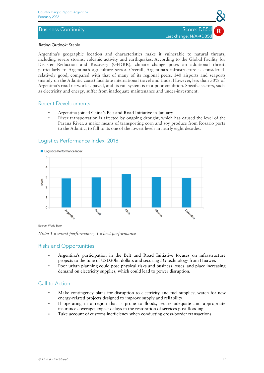### <span id="page-16-0"></span>Business Continuity Score: DB5d Score: DB5d Score: DB5d Score: DB5d Score: DB5d Score: DB5d Score: DB5d Score:



### Rating Outlook: Stable

Argentina's geographic location and characteristics make it vulnerable to natural threats, including severe storms, volcanic activity and earthquakes. According to the Global Facility for Disaster Reduction and Recovery (GFDRR), climate change poses an additional threat, particularly to Argentina's agriculture sector. Overall, Argentina's infrastructure is considered relatively good, compared with that of many of its regional peers. 140 airports and seaports (mainly on the Atlantic coast) facilitate international travel and trade. However, less than 30% of Argentina's road network is paved, and its rail system is in a poor condition. Specific sectors, such as electricity and energy, suffer from inadequate maintenance and under-investment.

### Recent Developments

- Argentina joined China's Belt and Road Initiative in January.
- River transportation is affected by ongoing drought, which has caused the level of the Parana River, a major means of transporting corn and soy produce from Rosario ports to the Atlantic, to fall to its one of the lowest levels in nearly eight decades.



### Logistics Performance Index, 2018

Source: World Bank

*Note: 1 = worst performance, 5 = best performance*

### Risks and Opportunities

- Argentina's participation in the Belt and Road Initiative focuses on infrastructure projects to the tune of USD30bn dollars and securing 5G technology from Huawei.
- Poor urban planning could pose physical risks and business losses, and place increasing demand on electricity supplies, which could lead to power disruption.

- Make contingency plans for disruption to electricity and fuel supplies; watch for new energy-related projects designed to improve supply and reliability.
- If operating in a region that is prone to floods, secure adequate and appropriate insurance coverage; expect delays in the restoration of services post-flooding.
- Take account of customs inefficiency when conducting cross-border transactions. ●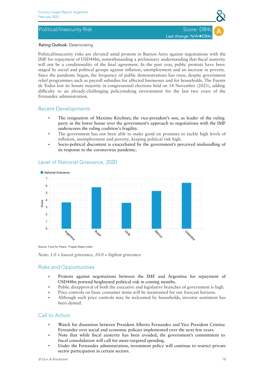### <span id="page-17-0"></span>Political/Insecurity Risk Score: DB4c

### Rating Outlook: Deteriorating

Political/insecurity risks are elevated amid protests in Buenos Aires against negotiations with the IMF for repayment of USD44bn, notwithstanding a preliminary understanding that fiscal austerity will not be a conditionality of the final agreement. In the past year, public protests have been staged by social and political groups against inflation, unemployment and an increase in poverty. Since the pandemic began, the frequency of public demonstrations has risen, despite government relief programmes such as payroll subsidies for affected businesses and for households. The Fuente de Todos lost its Senate majority in congressional elections held on 14 November (2021), adding difficulty to an already-challenging policymaking environment for the last two years of the Fernandez administration.

### Recent Developments

- The resignation of Maximo Kirchner, the vice-president's son, as leader of the ruling party in the lower house over the government's approach to negotiations with the IMF underscores the ruling coalition's fragility.
- The government has not been able to make good on promises to tackle high levels of inflation, unemployment and poverty, keeping political risk high.
- Socio-political discontent is exacerbated by the government's perceived mishandling of its response to the coronavirus pandemic.



### Level of National Grievance, 2020

Source: Fund for Peace, 'Fragile States Index'

*Note: 1.0 = lowest grievance, 10.0 = highest grievance*

### Risks and Opportunities

- Protests against negotiations between the IMF and Argentina for repayment of USD44bn portend heightened political risk in coming months.
- Public disapproval of both the executive and legislative branches of government is high.
- Price controls on basic consumer items will be maintained for our forecast horizon.
- Although such price controls may be welcomed by households, investor sentiment has been dented.

- Watch for dissention between President Alberto Fernandez and Vice President Cristina Fernandez over social and economic policies implemented over the next few years.
- Note that while fiscal austerity has been avoided, the government's commitment to fiscal consolidation will call for more-targeted spending.
- Under the Fernandez administration, investment policy will continue to restrict private sector participation in certain sectors.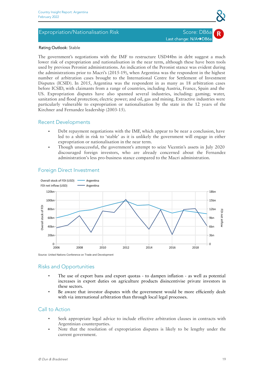### <span id="page-18-0"></span>Expropriation/Nationalisation Risk Score: DB6a

## Last change: N/A**→**DB6a

### Rating Outlook: Stable

The government's negotiations with the IMF to restructure USD44bn in debt suggest a much lower risk of expropriation and nationalisation in the near term, although these have been tools used by previous Peronist administrations. An indication of the Peronist stance was evident during the administrations prior to Macri's (2015-19), when Argentina was the respondent in the highest number of arbitration cases brought to the International Centre for Settlement of Investment Disputes (ICSID). In 2015, Argentina was the respondent in as many as 18 arbitration cases before ICSID, with claimants from a range of countries, including Austria, France, Spain and the US. Expropriation disputes have also spanned several industries, including: gaming; water, sanitation and flood protection; electric power; and oil, gas and mining. Extractive industries were particularly vulnerable to expropriation or nationalisation by the state in the 12 years of the Kirchner and Fernandez leadership (2003-15).

### Recent Developments

- Debt repayment negotiations with the IMF, which appear to be near a conclusion, have led to a shift in risk to 'stable' as it is unlikely the government will engage in either expropriation or nationalisation in the near term.
- Though unsuccessful, the government's attempt to seize Vicentin's assets in July 2020 discouraged foreign investors, who are already concerned about the Fernandez administration's less pro-business stance compared to the Macri administration.



### Foreign Direct Investment

Source: United Nations Conference on Trade and Development

### Risks and Opportunities

- The use of export bans and export quotas to dampen inflation as well as potential increases in export duties on agriculture products disincentivise private investors in these sectors.
- Be aware that investor disputes with the government would be more efficiently dealt with via international arbitration than through local legal processes.

- Seek appropriate legal advice to include effective arbitration clauses in contracts with Argentinian counterparties.
- Note that the resolution of expropriation disputes is likely to be lengthy under the current government.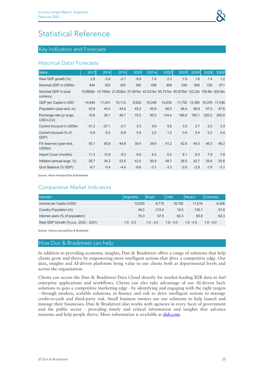### <span id="page-19-1"></span><span id="page-19-0"></span>Key Indicators and Forecasts

### Historical Data/ Forecasts

| <b>Metric</b>                                 | 2017    | 2018    | 2019   | 2020   | 2021e  | 2022f  | 2023f                                                                                  | 2024f  | 2025f  | 2026f  |
|-----------------------------------------------|---------|---------|--------|--------|--------|--------|----------------------------------------------------------------------------------------|--------|--------|--------|
| Real GDP growth (%)                           | 2.8     | $-2.6$  | $-2.1$ | $-9.9$ | 7.5    | 2.3    | 1.9                                                                                    | 1.6    | 1.4    | 1.2    |
| Nominal GDP in USDbn                          | 644     | 525     | 453    | 390    | 458    | 489    | 545                                                                                    | 626    | 726    | 811    |
| Nominal GDP in local<br>currency              |         |         |        |        |        |        | 10,660bn 14,745bn 21,802bn 27,481bn 43,531bn 65,731bn 90,972bn 122.2tn 159.8tn 202.6tn |        |        |        |
| GDP per Capita in USD                         | 14,649  | 11,831  | 10,112 | 8,620  | 10,048 | 10,630 | 11,752                                                                                 | 13,380 | 15,378 | 17,036 |
| Population (year-end, m)                      | 43.9    | 44.4    | 44.8   | 45.2   | 45.6   | 46.0   | 46.4                                                                                   | 46.8   | 47.2   | 47.6   |
| Exchange rate (yr avge,<br>USD-LCU)           | 16.6    | 28.1    | 48.1   | 70.5   | 95.0   | 134.4  | 166.8                                                                                  | 195.1  | 220.2  | 250.0  |
| <b>Current Account in USDbn</b>               | $-31.2$ | $-27.1$ | $-3.7$ | 3.3    | 9.9    | 5.8    | 3.3                                                                                    | 2.7    | 2.0    | 3.3    |
| Current Account (% of<br>GDP)                 | $-4.8$  | $-5.2$  | $-0.8$ | 0.9    | 2.2    | 1.2    | 0.6                                                                                    | 0.4    | 0.3    | 0.4    |
| FX reserves (year-end,<br>USD <sub>bn</sub> ) | 55.1    | 65.8    | 44.8   | 39.4   | 39.6   | 41.2   | 42.8                                                                                   | 44.5   | 46.3   | 48.2   |
| Import Cover (months)                         | 11.3    | 12.8    | 8.3    | 8.6    | 8.2    | 8.2    | 8.1                                                                                    | 8.0    | 7.9    | 7.9    |
| Inflation (annual avge, %)                    | 25.7    | 34.3    | 53.5   | 42.0   | 50.9   | 48.7   | 36.5                                                                                   | 32.7   | 29.4   | 25.6   |
| Govt Balance (% GDP)                          | $-6.7$  | $-5.4$  | $-4.4$ | $-8.6$ | $-3.1$ | $-3.3$ | $-3.0$                                                                                 | $-2.9$ | $-1.8$ | $-3.1$ |

Source: Haver Analytics/Dun & Bradstreet

### Comparative Market Indicators

| Indicator                             | Argentina   | <b>Brazil</b> | <b>Chile</b> | <b>Mexico</b> | <b>Colombia</b> |
|---------------------------------------|-------------|---------------|--------------|---------------|-----------------|
| Income per Capita (USD)               | 10.630      | 8.719         | 18.192       | 11.014        | 6,306           |
| Country Population (m)                | 46.0        | 215.4         | 19.3         | 130.1         | 51.8            |
| Internet users (% of population)      | 74.3        | 67.5          | 82.3         | 65.8          | 62.3            |
| Real GDP Growth (% p.a., 2022 - 2031) | $1.0 - 2.5$ | $1.5 - 3.0$   | $1.8 - 3.0$  | $18 - 45$     | $18 - 50$       |

Source: Various sources/Dun & Bradstreet

### How Dun & Bradstreet can help

In addition to providing economic insights, Dun & Bradstreet offers a range of solutions that help clients grow and thrive by empowering more intelligent actions that drive a competitive edge. Our data, insights and AI-driven platforms bring value to our clients both at departmental levels and across the organisation.

Clients can access the Dun & Bradstreet Data Cloud directly for market-leading B2B data to fuel enterprise applications and workflows. Clients can also take advantage of our AI-driven SaaS solutions to gain a competitive marketing edge - by identifying and engaging with the right targets - through modern, scalable solutions; in finance and risk to drive intelligent actions to manage credit-to-cash and third-party risk. Small business owners use our solutions to help launch and manage their businesses. Dun & Bradstreet also works with agencies in every facet of government and the public sector - providing timely and critical information and insights that advance missions and help people thrive. More information is available at [dnb.com](https://www.dnb.com).